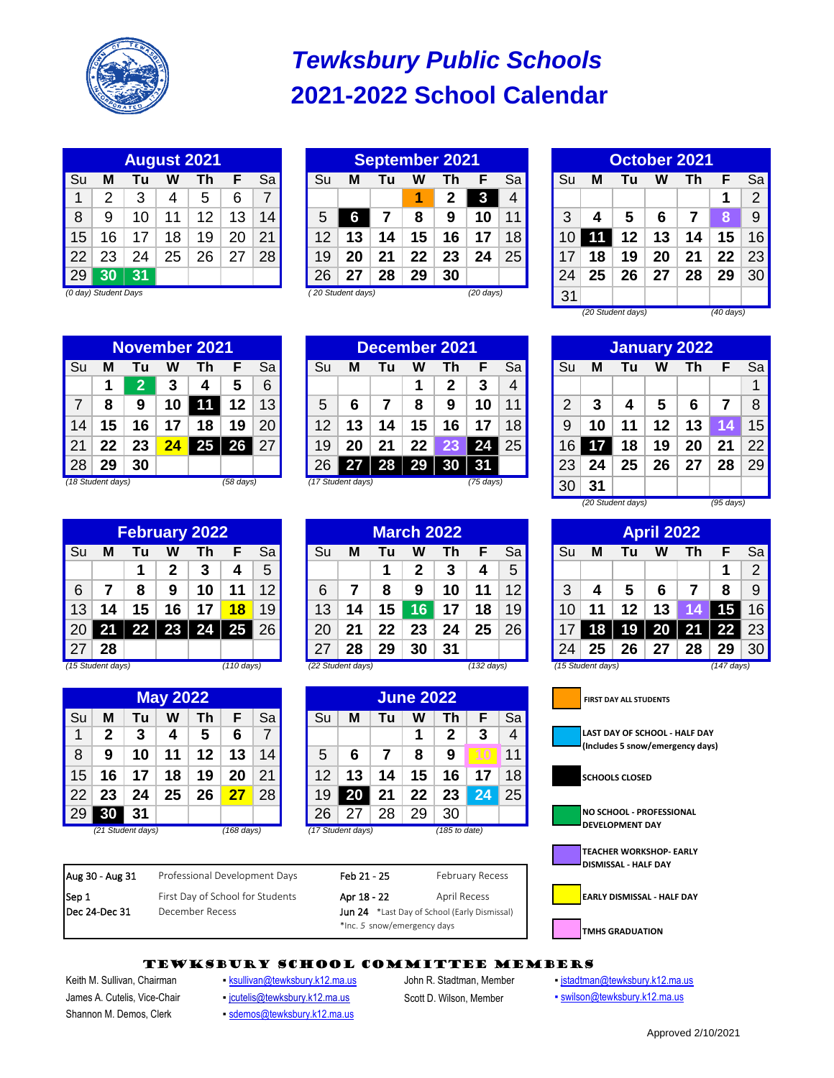

# **2021-2022 School Calendar** *Tewksbury Public Schools*

| <b>August 2021</b> |    |    |    |    |    |    |  |  |  |  |  |  |
|--------------------|----|----|----|----|----|----|--|--|--|--|--|--|
| Su                 | М  | Tu | w  | Τh | F  | Sa |  |  |  |  |  |  |
| 1                  | 2  | 3  | 4  | 5  | 6  | 7  |  |  |  |  |  |  |
| 8                  | 9  | 10 | 11 | 12 | 13 | 14 |  |  |  |  |  |  |
| 15                 | 16 | 17 | 18 | 19 | 20 | 21 |  |  |  |  |  |  |
| 22                 | 23 | 24 | 25 | 26 | 27 | 28 |  |  |  |  |  |  |
| 29                 | 30 | 31 |    |    |    |    |  |  |  |  |  |  |

| August 2021 |                      |                 |    |         |    |                 | <b>September 2021</b> |                   |    |         |    |                     |     | October 2021 |    |    |    |                 |    |    |
|-------------|----------------------|-----------------|----|---------|----|-----------------|-----------------------|-------------------|----|---------|----|---------------------|-----|--------------|----|----|----|-----------------|----|----|
| Su          | M                    |                 | W  |         |    | Sa              | Su                    | M                 | Γu | W       |    |                     | Sa  | Su           | M  | Τu | w  | n               |    | Sa |
|             | ົ                    | ຈ               |    | b       | 6  |                 |                       |                   |    |         | מ  |                     |     |              |    |    |    |                 |    | 2  |
| 8           | 9                    | 10 <sup>°</sup> |    | 12      | 13 | 14.             |                       |                   |    | 8       | 9  | 10                  | 11. | ว            |    | 5  | 6  |                 |    | 9  |
| 15          | 16                   | 17              | 18 | 19<br>и | 20 | 21              | 12                    | 13                | 14 | 15      | 16 | 1.                  | 18  |              |    | 12 | 13 | 14 <sub>1</sub> | 5  | 16 |
| 22          | 23                   | 24              | 25 | 26      | 27 | 28 <sub>1</sub> | 19                    | 20                | 21 | $22 \,$ | 23 | 24                  | 25  |              | 8  | 19 | 20 |                 | 22 | 23 |
| 29          | 30                   | 31              |    |         |    |                 | 26                    |                   | 28 | 29      | 30 |                     |     | 24           | 25 | 26 | 27 | 28              | 29 | 30 |
|             | (0 day) Student Days |                 |    |         |    |                 |                       | (20 Student days) |    |         |    | $(20 \text{ days})$ |     | 31           |    |    |    |                 |    |    |

| <b>October 2021</b> |                                |    |    |    |    |                |  |  |  |  |  |  |
|---------------------|--------------------------------|----|----|----|----|----------------|--|--|--|--|--|--|
| Su                  | М                              | Tu | w  | Τh | F  | Sa             |  |  |  |  |  |  |
|                     |                                |    |    |    | 1  | $\overline{2}$ |  |  |  |  |  |  |
| 3                   | 4                              | 5  | 6  | 7  | 8  | 9              |  |  |  |  |  |  |
| 10                  | 11                             | 12 | 13 | 14 | 15 | 16             |  |  |  |  |  |  |
| 17                  | 18                             | 19 | 20 | 21 | 22 | 23             |  |  |  |  |  |  |
| 24                  | 25                             | 26 | 27 | 28 | 29 | 30             |  |  |  |  |  |  |
| 31                  |                                |    |    |    |    |                |  |  |  |  |  |  |
|                     | (20 Student days)<br>(40 days) |    |    |    |    |                |  |  |  |  |  |  |

**November 2021**

|    |                   |    |    | <b>INOVEITIDEL ZUZ I</b> |                     |                 |     |                   | Decenider zuz i |                 |    |           |                 |      |    |    |    | January 2022 |    |    |
|----|-------------------|----|----|--------------------------|---------------------|-----------------|-----|-------------------|-----------------|-----------------|----|-----------|-----------------|------|----|----|----|--------------|----|----|
| Su | M                 | Γu | W  | Th                       |                     | Sal             | Su  | М                 | Γu              | W               | ⊺h |           | Sa              | Su   | M  | Τu | W  | Γh           |    | Sa |
|    |                   |    |    | 4                        | 5                   | 6               |     |                   |                 |                 | כי | 3         | 4               |      |    |    |    |              |    |    |
|    | 8                 | 9  | 10 | 11                       | 12                  | 13 <sup>1</sup> |     | 6                 |                 | 8               | 9  | 10        | 11 <sub>1</sub> |      |    | 4  | 5  |              |    | 8  |
| 14 | 15                | 16 | 17 | 18                       | 19                  | 20              | 12. | 13                | 14              | 15              | 16 | -17       | 18              | 9    |    | 11 | 12 | 13           |    | 15 |
| 21 | 22                | 23 |    | 25                       | 26                  | 27 <sup>1</sup> | 19  | 20                | 21              | 22 <sub>2</sub> | 23 | 24        | 25 <sub>1</sub> | 16 I |    | 18 | 19 | 20           | 21 | 22 |
| 28 | 29                | 30 |    |                          |                     |                 | 26  | 27                | 28              | 29              |    | <b>BI</b> |                 | 23   | 24 | 25 | 26 | 27           | 28 | 29 |
|    | (18 Student days) |    |    |                          | $(58 \text{ days})$ |                 |     | (17 Student days) |                 |                 |    | (75 days) |                 | 30   | 31 |    |    |              |    |    |

|                 |                   |    |    |               |            |                 |    |                   |    |                   |    |                      |                   |    |                   | (20 Student days) |                   |    | $(95 \text{ days})$  |                |
|-----------------|-------------------|----|----|---------------|------------|-----------------|----|-------------------|----|-------------------|----|----------------------|-------------------|----|-------------------|-------------------|-------------------|----|----------------------|----------------|
|                 |                   |    |    | February 2022 |            |                 |    |                   |    | <b>March 2022</b> |    |                      |                   |    |                   |                   | <b>April 2022</b> |    |                      |                |
| Su              | M                 | Γu | W  |               |            | Sal             | Su | M                 | Τu | W                 | 'n |                      | Sa                | Su | M                 | Tu                | w                 | Γh |                      | Sa             |
|                 |                   |    |    | З             | 4          | 5               |    |                   |    |                   | 3  | 4                    | 5                 |    |                   |                   |                   |    |                      | $\overline{2}$ |
| 6               |                   | 8  | 9  | 10            | ∣1         | 12 <sub>h</sub> | 6  |                   | 8  | 9                 |    | 11                   | $12 \overline{ }$ | 3  |                   | 5                 | 6                 |    | 8                    | 9              |
| 13              | 14                | 15 | 16 | 17            | 18         | 19              | l3 | 14                | 15 | 6                 |    | 18                   | 19                |    |                   | 12                | 13                |    | 15                   | 16             |
| 20 <sub>1</sub> | 21                | 22 | 23 |               | 25         | 26 I            | 20 | 21                | 22 | 23                | 24 | 25                   | 26                |    |                   | 19                |                   | 21 | 22                   | 23             |
| 27              | 28                |    |    |               |            |                 |    | 28                | 29 | 30                | 31 |                      |                   | 24 | 25                | 26                |                   | 28 | 29                   | 30             |
|                 | (15 Student days) |    |    |               | (110 days) |                 |    | (22 Student days) |    |                   |    | $(132 \text{ days})$ |                   |    | (15 Student days) |                   |                   |    | $(147 \text{ days})$ |                |

|    |    |                   | <b>May 2022</b> |    |            |                 |    |                   |    | <b>June 2022</b> |               |                 |
|----|----|-------------------|-----------------|----|------------|-----------------|----|-------------------|----|------------------|---------------|-----------------|
| Su | M  | Tu                | W               | Γh |            | Sa l            | Su | M                 | Tu | W                | Th            | Sa              |
|    | າ  |                   |                 | C  | 6          |                 |    |                   |    |                  |               | Δ               |
| 8  | 9  | 10                |                 | 12 | 13         | 14 <sub>l</sub> | 5  | 6                 |    | 8                | 9             | 11              |
| 15 | 16 |                   | 18              | 9  |            | 21              | 12 | 13                | 14 | 15               | 16            | 18              |
| 22 | 23 | 24                | 25              | 26 |            | 28 <sub>l</sub> | 19 |                   | 21 | 22               | 23            | 25 <sub>1</sub> |
| 29 | 30 | 31                |                 |    |            |                 | 26 |                   | 28 | 29               | 30            |                 |
|    |    | (21 Student days) |                 |    | (168 days) |                 |    | (17 Student days) |    |                  | (185 to date) |                 |

|       |    | <b>December 2021</b> |    |                     |    | January 2022 |    |                   |    |    |                     |  |  |
|-------|----|----------------------|----|---------------------|----|--------------|----|-------------------|----|----|---------------------|--|--|
|       | Tu | W                    | Th | F                   | Sa | Su           | М  | Tu                | w  | Τh | Е                   |  |  |
|       |    | 1                    | 2  | 3                   | 4  |              |    |                   |    |    |                     |  |  |
|       | 7  | 8                    | 9  | 10                  | 11 | 2            | 3  | 4                 | 5  | 6  |                     |  |  |
| 3     | 14 | 15                   | 16 | 17                  | 18 | 9            | 10 | 11                | 12 | 13 | 14                  |  |  |
|       | 21 | 22                   | 23 | 24                  | 25 | 16           | 17 | 18                | 19 | 20 | 21                  |  |  |
|       | 28 | 29                   | 30 | 31                  |    | 23           | 24 | 25                | 26 | 27 | 28                  |  |  |
| lays) |    |                      |    | $(75 \text{ days})$ |    | 30           | 31 |                   |    |    |                     |  |  |
|       |    |                      |    |                     |    |              |    | (20 Student days) |    |    | $(95 \text{ days})$ |  |  |

**March 2022 April 2022**



## TEWKSBURY SCHOOL COMMITTEE MEMBERS

Shannon M. Demos, Clerk **Burges Schannon M. Demos, Clerk Burges Clergian Schannon M. Demos, Clerk** 

Dec 24-Dec 31 December Recess

Aug 30 - Aug 31 Professional Development Days Feb 21 - 25 February Recess

- James A. Cutelis, Vice-Chair **igutelis@tewksbury.k12.ma.us** Scott D. Wilson, Member **· [swilson@tewksbury.k12.ma.us](mailto:swilson@tewksbury.k12.ma.us)**
- Keith M. Sullivan, Chairman **· [ksullivan@tewksbury.k12.ma.us](mailto:ksullivan@tewksbury.k12.ma.us)** John R. Stadtman, Member · [jstadtman@tewksbury.k12.ma.us](mailto:jstadtman@tewksbury.k12.ma.us)

Jun 24 \*Last Day of School (Early Dismissal)

\*Inc. *5* snow/emergency days

- 
-